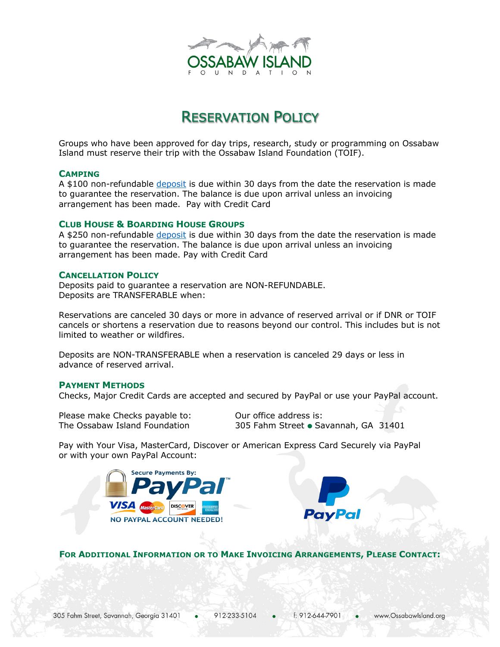

# RESERVATION POLICY

Groups who have been approved for day trips, research, study or programming on Ossabaw Island must reserve their trip with the Ossabaw Island Foundation (TOIF).

## **CAMPING**

A \$100 non-refundable deposit is due within 30 days from the date the reservation is made to guarantee the reservation. The balance is due upon arrival unless an invoicing arrangement has been made. Pay with Credit Card

### **CLUB HOUSE & BOARDING HOUSE GROUPS**

A \$250 non-refundable deposit is due within 30 days from the date the reservation is made to guarantee the reservation. The balance is due upon arrival unless an invoicing arrangement has been made. Pay with Credit Card

## **CANCELLATION POLICY**

Deposits paid to guarantee a reservation are NON-REFUNDABLE. Deposits are TRANSFERABLE when:

Reservations are canceled 30 days or more in advance of reserved arrival or if DNR or TOIF cancels or shortens a reservation due to reasons beyond our control. This includes but is not limited to weather or wildfires.

Deposits are NON-TRANSFERABLE when a reservation is canceled 29 days or less in advance of reserved arrival.

#### **PAYMENT METHODS**

Checks, Major Credit Cards are accepted and secured by PayPal or use your PayPal account.

Please make Checks payable to: 0ur office address is:

The Ossabaw Island Foundation 305 Fahm Street Savannah, GA 31401

Pay with Your Visa, MasterCard, Discover or American Express Card Securely via PayPal or with your own PayPal Account:





**FOR ADDITIONAL INFORMATION OR TO MAKE INVOICING ARRANGEMENTS, PLEASE CONTACT:**